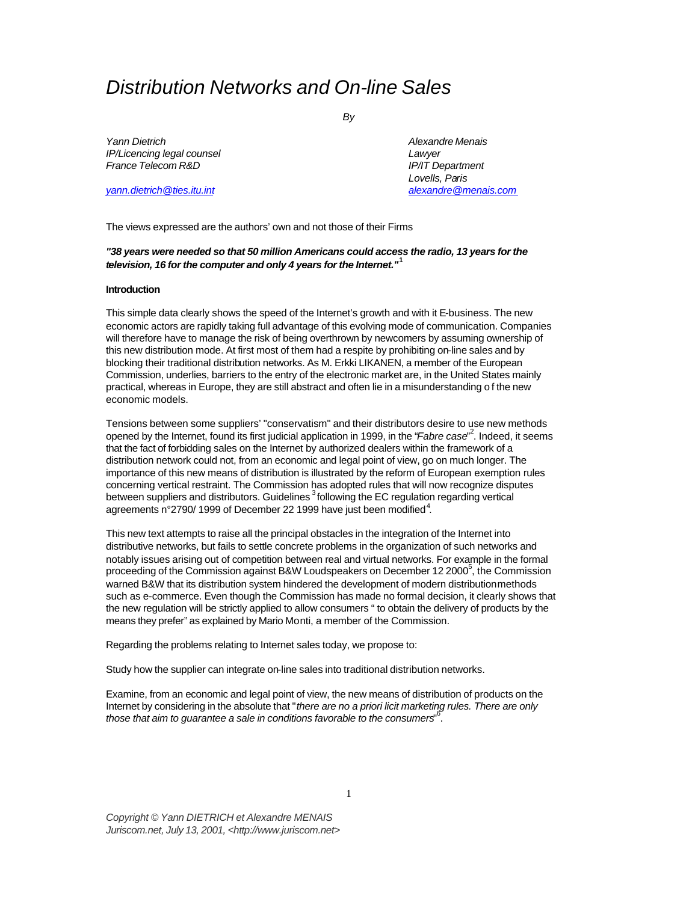# *Distribution Networks and On-line Sales*

*By*

*Yann Dietrich Alexandre Menais IP/Licencing legal counsel Lawyer France Telecom R&D IP/IT Department*

*Lovells, Paris yann.dietrich@ties.itu.int alexandre@menais.com*

The views expressed are the authors' own and not those of their Firms

*"38 years were needed so that 50 million Americans could access the radio, 13 years for the television, 16 for the computer and only 4 years for the Internet."***<sup>1</sup>**

#### **Introduction**

This simple data clearly shows the speed of the Internet's growth and with it E-business. The new economic actors are rapidly taking full advantage of this evolving mode of communication. Companies will therefore have to manage the risk of being overthrown by newcomers by assuming ownership of this new distribution mode. At first most of them had a respite by prohibiting on-line sales and by blocking their traditional distribution networks. As M. Erkki LIKANEN, a member of the European Commission, underlies, barriers to the entry of the electronic market are, in the United States mainly practical, whereas in Europe, they are still abstract and often lie in a misunderstanding o f the new economic models.

Tensions between some suppliers' "conservatism" and their distributors desire to use new methods opened by the Internet, found its first judicial application in 1999, in the "*Fabre case*" 2 . Indeed, it seems that the fact of forbidding sales on the Internet by authorized dealers within the framework of a distribution network could not, from an economic and legal point of view, go on much longer. The importance of this new means of distribution is illustrated by the reform of European exemption rules concerning vertical restraint. The Commission has adopted rules that will now recognize disputes between suppliers and distributors. Guidelines 3 following the EC regulation regarding vertical agreements n°2790/ 1999 of December 22 1999 have just been modified $^4$ .

This new text attempts to raise all the principal obstacles in the integration of the Internet into distributive networks, but fails to settle concrete problems in the organization of such networks and notably issues arising out of competition between real and virtual networks. For example in the formal proceeding of the Commission against B&W Loudspeakers on December 12 2000 $^5$ , the Commission warned B&W that its distribution system hindered the development of modern distribution methods such as e-commerce. Even though the Commission has made no formal decision, it clearly shows that the new regulation will be strictly applied to allow consumers " to obtain the delivery of products by the means they prefer" as explained by Mario Monti, a member of the Commission.

Regarding the problems relating to Internet sales today, we propose to:

Study how the supplier can integrate on-line sales into traditional distribution networks.

Examine, from an economic and legal point of view, the new means of distribution of products on the Internet by considering in the absolute that "*there are no a priori licit marketing rules. There are only those that aim to guarantee a sale in conditions favorable to the consumers*" 6 .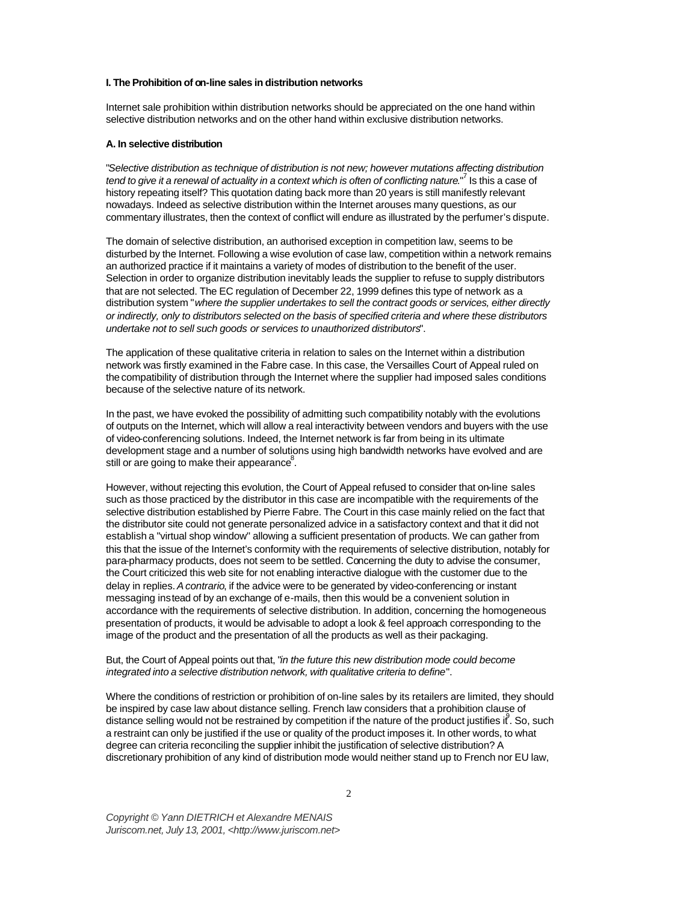## **I. The Prohibition of on-line sales in distribution networks**

Internet sale prohibition within distribution networks should be appreciated on the one hand within selective distribution networks and on the other hand within exclusive distribution networks.

#### **A. In selective distribution**

"*Selective distribution as technique of distribution is not new; however mutations affecting distribution*  tend to give it a renewal of actuality in a context which is often of conflicting nature."<sup>7</sup> Is this a case of history repeating itself? This quotation dating back more than 20 years is still manifestly relevant nowadays. Indeed as selective distribution within the Internet arouses many questions, as our commentary illustrates, then the context of conflict will endure as illustrated by the perfumer's dispute.

The domain of selective distribution, an authorised exception in competition law, seems to be disturbed by the Internet. Following a wise evolution of case law, competition within a network remains an authorized practice if it maintains a variety of modes of distribution to the benefit of the user. Selection in order to organize distribution inevitably leads the supplier to refuse to supply distributors that are not selected. The EC regulation of December 22, 1999 defines this type of network as a distribution system "*where the supplier undertakes to sell the contract goods or services, either directly or indirectly, only to distributors selected on the basis of specified criteria and where these distributors undertake not to sell such goods or services to unauthorized distributors*".

The application of these qualitative criteria in relation to sales on the Internet within a distribution network was firstly examined in the Fabre case. In this case, the Versailles Court of Appeal ruled on the compatibility of distribution through the Internet where the supplier had imposed sales conditions because of the selective nature of its network.

In the past, we have evoked the possibility of admitting such compatibility notably with the evolutions of outputs on the Internet, which will allow a real interactivity between vendors and buyers with the use of video-conferencing solutions. Indeed, the Internet network is far from being in its ultimate development stage and a number of solutions using high bandwidth networks have evolved and are still or are going to make their appearance $8$ .

However, without rejecting this evolution, the Court of Appeal refused to consider that on-line sales such as those practiced by the distributor in this case are incompatible with the requirements of the selective distribution established by Pierre Fabre. The Court in this case mainly relied on the fact that the distributor site could not generate personalized advice in a satisfactory context and that it did not establish a "virtual shop window" allowing a sufficient presentation of products. We can gather from this that the issue of the Internet's conformity with the requirements of selective distribution, notably for para-pharmacy products, does not seem to be settled. Concerning the duty to advise the consumer, the Court criticized this web site for not enabling interactive dialogue with the customer due to the delay in replies. *A contrario*, if the advice were to be generated by video-conferencing or instant messaging instead of by an exchange of e-mails, then this would be a convenient solution in accordance with the requirements of selective distribution. In addition, concerning the homogeneous presentation of products, it would be advisable to adopt a look & feel approach corresponding to the image of the product and the presentation of all the products as well as their packaging.

## But, the Court of Appeal points out that, "*in the future this new distribution mode could become integrated into a selective distribution network, with qualitative criteria to define*".

Where the conditions of restriction or prohibition of on-line sales by its retailers are limited, they should be inspired by case law about distance selling. French law considers that a prohibition clause of distance selling would not be restrained by competition if the nature of the product justifies it  $^2$ . So, such a restraint can only be justified if the use or quality of the product imposes it. In other words, to what degree can criteria reconciling the supplier inhibit the justification of selective distribution? A discretionary prohibition of any kind of distribution mode would neither stand up to French nor EU law,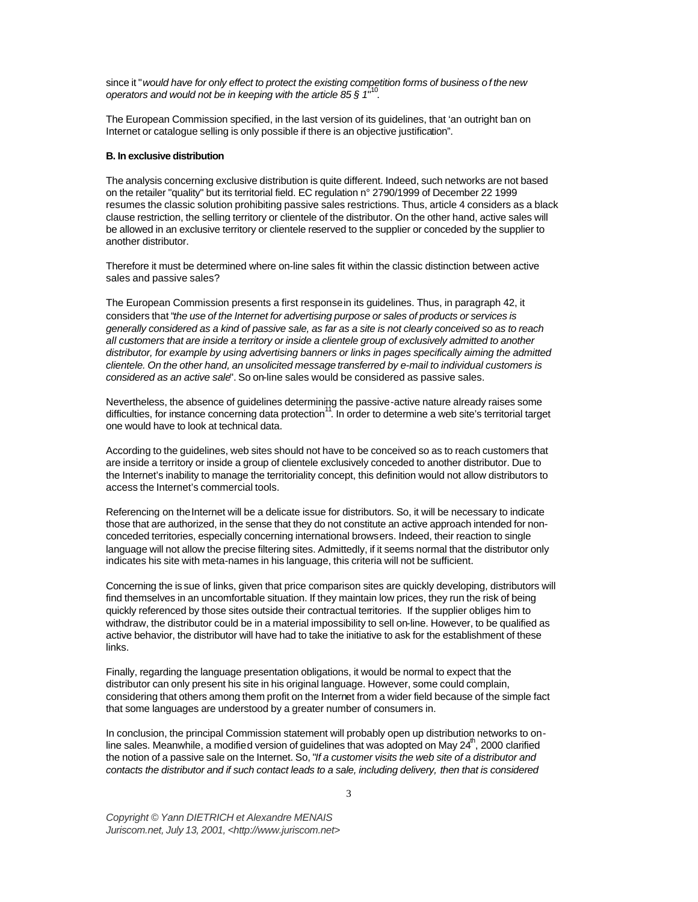since it "*would have for only effect to protect the existing competition forms of business o f the new operators and would not be in keeping with the article 85 § 1*" 10 .

The European Commission specified, in the last version of its guidelines, that 'an outright ban on Internet or catalogue selling is only possible if there is an objective justification".

#### **B. In exclusive distribution**

The analysis concerning exclusive distribution is quite different. Indeed, such networks are not based on the retailer "quality" but its territorial field. EC regulation n° 2790/1999 of December 22 1999 resumes the classic solution prohibiting passive sales restrictions. Thus, article 4 considers as a black clause restriction, the selling territory or clientele of the distributor. On the other hand, active sales will be allowed in an exclusive territory or clientele reserved to the supplier or conceded by the supplier to another distributor.

Therefore it must be determined where on-line sales fit within the classic distinction between active sales and passive sales?

The European Commission presents a first response in its guidelines. Thus, in paragraph 42, it considers that "*the use of the Internet for advertising purpose or sales of products or services is generally considered as a kind of passive sale, as far as a site is not clearly conceived so as to reach all customers that are inside a territory or inside a clientele group of exclusively admitted to another distributor, for example by using advertising banners or links in pages specifically aiming the admitted clientele. On the other hand, an unsolicited message transferred by e-mail to individual customers is considered as an active sale*". So on-line sales would be considered as passive sales.

Nevertheless, the absence of guidelines determining the passive-active nature already raises some difficulties, for instance concerning data protection<sup>11</sup>. In order to determine a web site's territorial target one would have to look at technical data.

According to the guidelines, web sites should not have to be conceived so as to reach customers that are inside a territory or inside a group of clientele exclusively conceded to another distributor. Due to the Internet's inability to manage the territoriality concept, this definition would not allow distributors to access the Internet's commercial tools.

Referencing on the Internet will be a delicate issue for distributors. So, it will be necessary to indicate those that are authorized, in the sense that they do not constitute an active approach intended for nonconceded territories, especially concerning international browsers. Indeed, their reaction to single language will not allow the precise filtering sites. Admittedly, if it seems normal that the distributor only indicates his site with meta-names in his language, this criteria will not be sufficient.

Concerning the is sue of links, given that price comparison sites are quickly developing, distributors will find themselves in an uncomfortable situation. If they maintain low prices, they run the risk of being quickly referenced by those sites outside their contractual territories. If the supplier obliges him to withdraw, the distributor could be in a material impossibility to sell on-line. However, to be qualified as active behavior, the distributor will have had to take the initiative to ask for the establishment of these links.

Finally, regarding the language presentation obligations, it would be normal to expect that the distributor can only present his site in his original language. However, some could complain, considering that others among them profit on the Internet from a wider field because of the simple fact that some languages are understood by a greater number of consumers in.

In conclusion, the principal Commission statement will probably open up distribution networks to online sales. Meanwhile, a modified version of guidelines that was adopted on May  $24^{\prime\prime}$ , 2000 clarified the notion of a passive sale on the Internet. So, "*If a customer visits the web site of a distributor and contacts the distributor and if such contact leads to a sale, including delivery, then that is considered*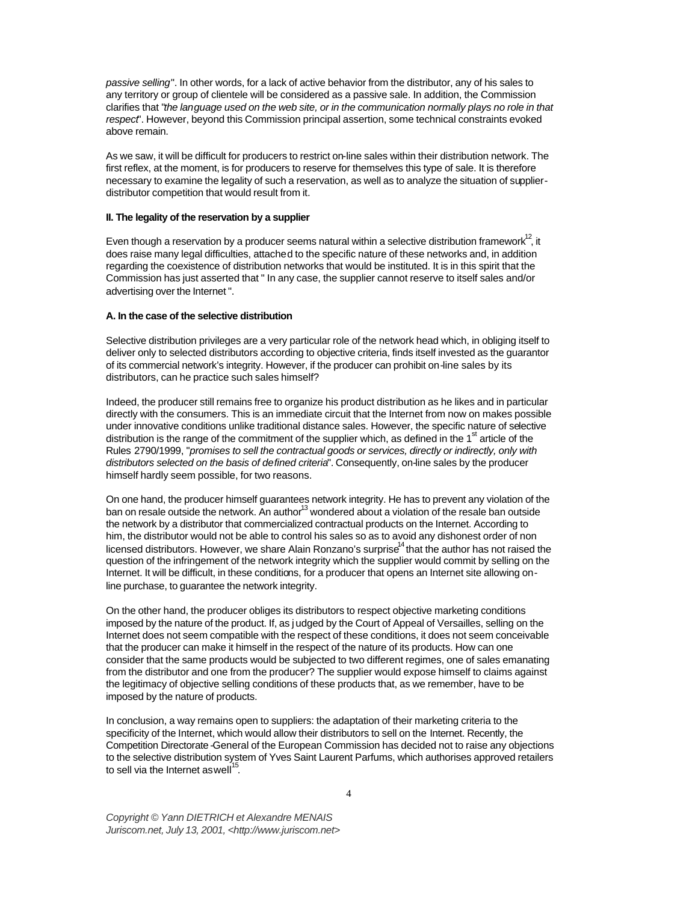*passive selling*". In other words, for a lack of active behavior from the distributor, any of his sales to any territory or group of clientele will be considered as a passive sale. In addition, the Commission clarifies that "*the language used on the web site, or in the communication normally plays no role in that respect*". However, beyond this Commission principal assertion, some technical constraints evoked above remain.

As we saw, it will be difficult for producers to restrict on-line sales within their distribution network. The first reflex, at the moment, is for producers to reserve for themselves this type of sale. It is therefore necessary to examine the legality of such a reservation, as well as to analyze the situation of supplierdistributor competition that would result from it.

#### **II. The legality of the reservation by a supplier**

Even though a reservation by a producer seems natural within a selective distribution framework<sup>12</sup>, it does raise many legal difficulties, attached to the specific nature of these networks and, in addition regarding the coexistence of distribution networks that would be instituted. It is in this spirit that the Commission has just asserted that " In any case, the supplier cannot reserve to itself sales and/or advertising over the Internet ".

#### **A. In the case of the selective distribution**

Selective distribution privileges are a very particular role of the network head which, in obliging itself to deliver only to selected distributors according to objective criteria, finds itself invested as the guarantor of its commercial network's integrity. However, if the producer can prohibit on-line sales by its distributors, can he practice such sales himself?

Indeed, the producer still remains free to organize his product distribution as he likes and in particular directly with the consumers. This is an immediate circuit that the Internet from now on makes possible under innovative conditions unlike traditional distance sales. However, the specific nature of selective distribution is the range of the commitment of the supplier which, as defined in the 1<sup>st</sup> article of the Rules 2790/1999, "*promises to sell the contractual goods or services, directly or indirectly, only with distributors selected on the basis of defined criteria*". Consequently, on-line sales by the producer himself hardly seem possible, for two reasons.

On one hand, the producer himself guarantees network integrity. He has to prevent any violation of the ban on resale outside the network. An author<sup>13</sup> wondered about a violation of the resale ban outside ban outside the network by a distributor that commercialized contractual products on the Internet. According to him, the distributor would not be able to control his sales so as to avoid any dishonest order of non licensed distributors. However, we share Alain Ronzano's surprise $14$  that the author has not raised the question of the infringement of the network integrity which the supplier would commit by selling on the Internet. It will be difficult, in these conditions, for a producer that opens an Internet site allowing online purchase, to guarantee the network integrity.

On the other hand, the producer obliges its distributors to respect objective marketing conditions imposed by the nature of the product. If, as j udged by the Court of Appeal of Versailles, selling on the Internet does not seem compatible with the respect of these conditions, it does not seem conceivable that the producer can make it himself in the respect of the nature of its products. How can one consider that the same products would be subjected to two different regimes, one of sales emanating from the distributor and one from the producer? The supplier would expose himself to claims against the legitimacy of objective selling conditions of these products that, as we remember, have to be imposed by the nature of products.

In conclusion, a way remains open to suppliers: the adaptation of their marketing criteria to the specificity of the Internet, which would allow their distributors to sell on the Internet. Recently, the Competition Directorate -General of the European Commission has decided not to raise any objections to the selective distribution system of Yves Saint Laurent Parfums, which authorises approved retailers to sell via the Internet as well<sup>15</sup> .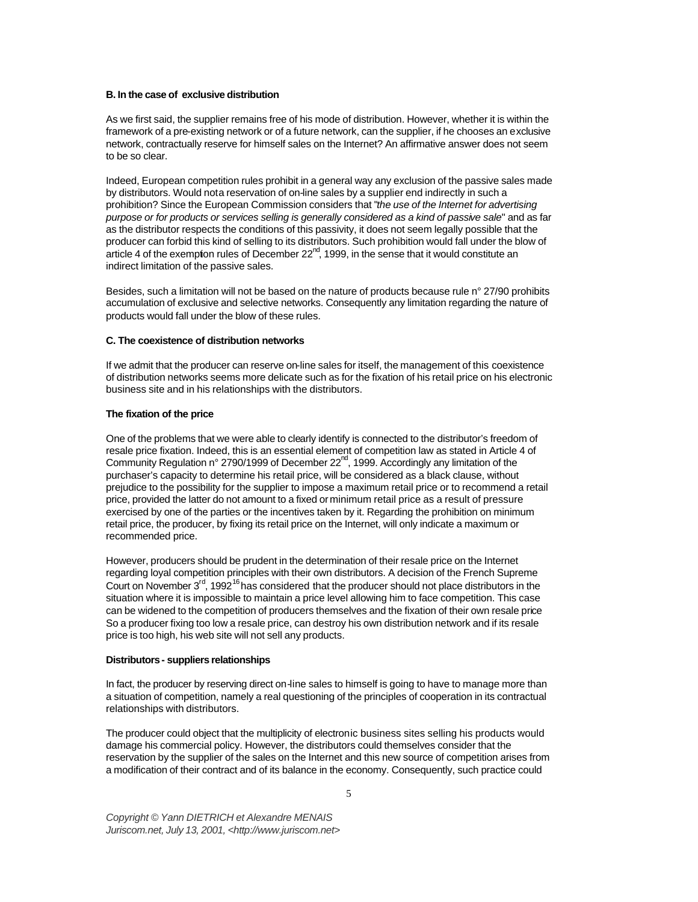#### **B. In the case of exclusive distribution**

As we first said, the supplier remains free of his mode of distribution. However, whether it is within the framework of a pre-existing network or of a future network, can the supplier, if he chooses an exclusive network, contractually reserve for himself sales on the Internet? An affirmative answer does not seem to be so clear.

Indeed, European competition rules prohibit in a general way any exclusion of the passive sales made by distributors. Would nota reservation of on-line sales by a supplier end indirectly in such a prohibition? Since the European Commission considers that "*the use of the Internet for advertising purpose or for products or services selling is generally considered as a kind of passive sale*" and as far as the distributor respects the conditions of this passivity, it does not seem legally possible that the producer can forbid this kind of selling to its distributors. Such prohibition would fall under the blow of article 4 of the exemption rules of December  $22<sup>nd</sup>$ , 1999, in the sense that it would constitute an indirect limitation of the passive sales.

Besides, such a limitation will not be based on the nature of products because rule n° 27/90 prohibits accumulation of exclusive and selective networks. Consequently any limitation regarding the nature of products would fall under the blow of these rules.

#### **C. The coexistence of distribution networks**

If we admit that the producer can reserve on-line sales for itself, the management of this coexistence of distribution networks seems more delicate such as for the fixation of his retail price on his electronic business site and in his relationships with the distributors.

#### **The fixation of the price**

One of the problems that we were able to clearly identify is connected to the distributor's freedom of resale price fixation. Indeed, this is an essential element of competition law as stated in Article 4 of Community Regulation n° 2790/1999 of December 22<sup>nd</sup>, 1999. Accordingly any limitation of the purchaser's capacity to determine his retail price, will be considered as a black clause, without prejudice to the possibility for the supplier to impose a maximum retail price or to recommend a retail price, provided the latter do not amount to a fixed or minimum retail price as a result of pressure exercised by one of the parties or the incentives taken by it. Regarding the prohibition on minimum retail price, the producer, by fixing its retail price on the Internet, will only indicate a maximum or recommended price.

However, producers should be prudent in the determination of their resale price on the Internet regarding loyal competition principles with their own distributors. A decision of the French Supreme Court on November  $3<sup>rd</sup>$ , 1992<sup>16</sup> has considered that the producer should not place distributors in the situation where it is impossible to maintain a price level allowing him to face competition. This case can be widened to the competition of producers themselves and the fixation of their own resale price So a producer fixing too low a resale price, can destroy his own distribution network and if its resale price is too high, his web site will not sell any products.

#### **Distributors - suppliers relationships**

In fact, the producer by reserving direct on-line sales to himself is going to have to manage more than a situation of competition, namely a real questioning of the principles of cooperation in its contractual relationships with distributors.

The producer could object that the multiplicity of electronic business sites selling his products would damage his commercial policy. However, the distributors could themselves consider that the reservation by the supplier of the sales on the Internet and this new source of competition arises from a modification of their contract and of its balance in the economy. Consequently, such practice could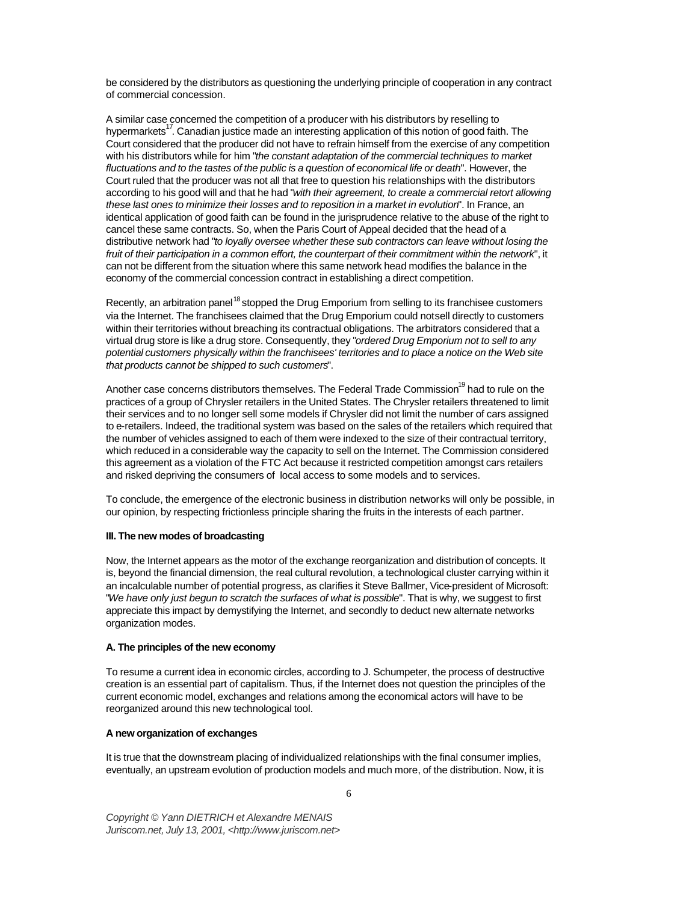be considered by the distributors as questioning the underlying principle of cooperation in any contract of commercial concession.

A similar case concerned the competition of a producer with his distributors by reselling to hypermarkets<sup>17</sup>. Canadian justice made an interesting application of this notion of good faith. The Court considered that the producer did not have to refrain himself from the exercise of any competition with his distributors while for him "*the constant adaptation of the commercial techniques to market fluctuations and to the tastes of the public is a question of economical life or death*". However, the Court ruled that the producer was not all that free to question his relationships with the distributors according to his good will and that he had "*with their agreement, to create a commercial retort allowing these last ones to minimize their losses and to reposition in a market in evolution*". In France, an identical application of good faith can be found in the jurisprudence relative to the abuse of the right to cancel these same contracts. So, when the Paris Court of Appeal decided that the head of a distributive network had "*to loyally oversee whether these sub contractors can leave without losing the fruit of their participation in a common effort, the counterpart of their commitment within the network*", it can not be different from the situation where this same network head modifies the balance in the economy of the commercial concession contract in establishing a direct competition.

Recently, an arbitration panel<sup>18</sup> stopped the Drug Emporium from selling to its franchisee customers via the Internet. The franchisees claimed that the Drug Emporium could not sell directly to customers within their territories without breaching its contractual obligations. The arbitrators considered that a virtual drug store is like a drug store. Consequently, they "*ordered Drug Emporium not to sell to any potential customers physically within the franchisees' territories and to place a notice on the Web site that products cannot be shipped to such customers*".

Another case concerns distributors themselves. The Federal Trade Commission<sup>19</sup> had to rule on the practices of a group of Chrysler retailers in the United States. The Chrysler retailers threatened to limit their services and to no longer sell some models if Chrysler did not limit the number of cars assigned to e-retailers. Indeed, the traditional system was based on the sales of the retailers which required that the number of vehicles assigned to each of them were indexed to the size of their contractual territory, which reduced in a considerable way the capacity to sell on the Internet. The Commission considered this agreement as a violation of the FTC Act because it restricted competition amongst cars retailers and risked depriving the consumers of local access to some models and to services.

To conclude, the emergence of the electronic business in distribution networks will only be possible, in our opinion, by respecting frictionless principle sharing the fruits in the interests of each partner.

## **III. The new modes of broadcasting**

Now, the Internet appears as the motor of the exchange reorganization and distribution of concepts. It is, beyond the financial dimension, the real cultural revolution, a technological cluster carrying within it an incalculable number of potential progress, as clarifies it Steve Ballmer, Vice-president of Microsoft: "*We have only just begun to scratch the surfaces of what is possible*". That is why, we suggest to first appreciate this impact by demystifying the Internet, and secondly to deduct new alternate networks organization modes.

## **A. The principles of the new economy**

To resume a current idea in economic circles, according to J. Schumpeter, the process of destructive creation is an essential part of capitalism. Thus, if the Internet does not question the principles of the current economic model, exchanges and relations among the economical actors will have to be reorganized around this new technological tool.

## **A new organization of exchanges**

It is true that the downstream placing of individualized relationships with the final consumer implies, eventually, an upstream evolution of production models and much more, of the distribution. Now, it is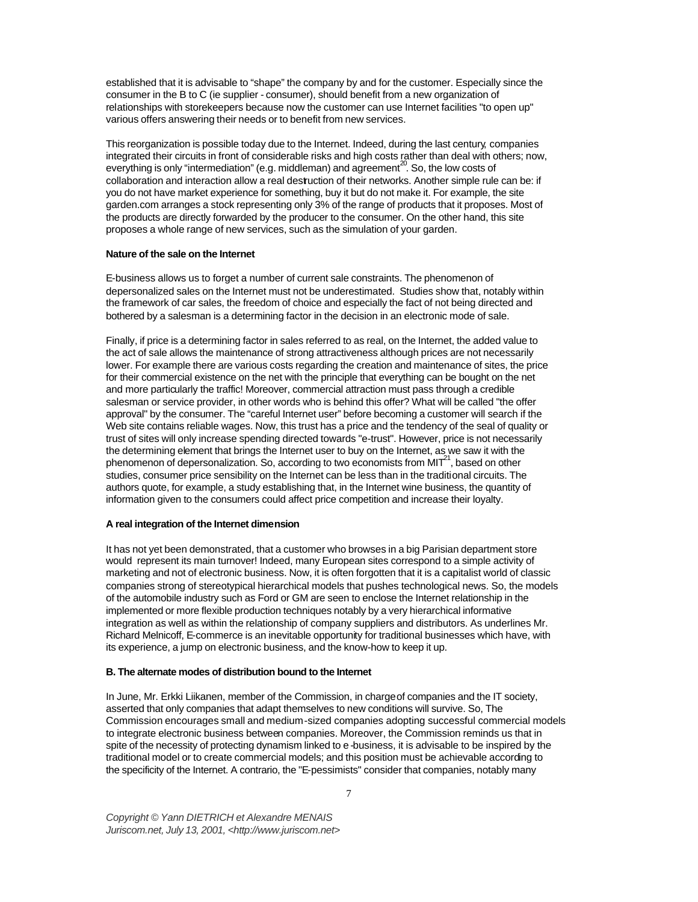established that it is advisable to "shape" the company by and for the customer. Especially since the consumer in the B to C (ie supplier - consumer), should benefit from a new organization of relationships with storekeepers because now the customer can use Internet facilities "to open up" various offers answering their needs or to benefit from new services.

This reorganization is possible today due to the Internet. Indeed, during the last century, companies integrated their circuits in front of considerable risks and high costs rather than deal with others; now, everything is only "intermediation" (e.g. middleman) and agreement<sup>20</sup>. So, the low costs of collaboration and interaction allow a real destruction of their networks. Another simple rule can be: if you do not have market experience for something, buy it but do not make it. For example, the site garden.com arranges a stock representing only 3% of the range of products that it proposes. Most of the products are directly forwarded by the producer to the consumer. On the other hand, this site proposes a whole range of new services, such as the simulation of your garden.

#### **Nature of the sale on the Internet**

E-business allows us to forget a number of current sale constraints. The phenomenon of depersonalized sales on the Internet must not be underestimated. Studies show that, notably within the framework of car sales, the freedom of choice and especially the fact of not being directed and bothered by a salesman is a determining factor in the decision in an electronic mode of sale.

Finally, if price is a determining factor in sales referred to as real, on the Internet, the added value to the act of sale allows the maintenance of strong attractiveness although prices are not necessarily lower. For example there are various costs regarding the creation and maintenance of sites, the price for their commercial existence on the net with the principle that everything can be bought on the net and more particularly the traffic! Moreover, commercial attraction must pass through a credible salesman or service provider, in other words who is behind this offer? What will be called "the offer approval" by the consumer. The "careful Internet user" before becoming a customer will search if the Web site contains reliable wages. Now, this trust has a price and the tendency of the seal of quality or trust of sites will only increase spending directed towards "e-trust". However, price is not necessarily the determining element that brings the Internet user to buy on the Internet, as we saw it with the phenomenon of depersonalization. So, according to two economists from MIT<sup>21</sup>, based on other studies, consumer price sensibility on the Internet can be less than in the traditional circuits. The authors quote, for example, a study establishing that, in the Internet wine business, the quantity of information given to the consumers could affect price competition and increase their loyalty.

#### **A real integration of the Internet dimension**

It has not yet been demonstrated, that a customer who browses in a big Parisian department store would represent its main turnover! Indeed, many European sites correspond to a simple activity of marketing and not of electronic business. Now, it is often forgotten that it is a capitalist world of classic companies strong of stereotypical hierarchical models that pushes technological news. So, the models of the automobile industry such as Ford or GM are seen to enclose the Internet relationship in the implemented or more flexible production techniques notably by a very hierarchical informative integration as well as within the relationship of company suppliers and distributors. As underlines Mr. Richard Melnicoff, E-commerce is an inevitable opportunity for traditional businesses which have, with its experience, a jump on electronic business, and the know-how to keep it up.

## **B. The alternate modes of distribution bound to the Internet**

In June, Mr. Erkki Liikanen, member of the Commission, in charge of companies and the IT society, asserted that only companies that adapt themselves to new conditions will survive. So, The Commission encourages small and medium-sized companies adopting successful commercial models to integrate electronic business between companies. Moreover, the Commission reminds us that in spite of the necessity of protecting dynamism linked to e-business, it is advisable to be inspired by the traditional model or to create commercial models; and this position must be achievable according to the specificity of the Internet. A contrario, the "E-pessimists" consider that companies, notably many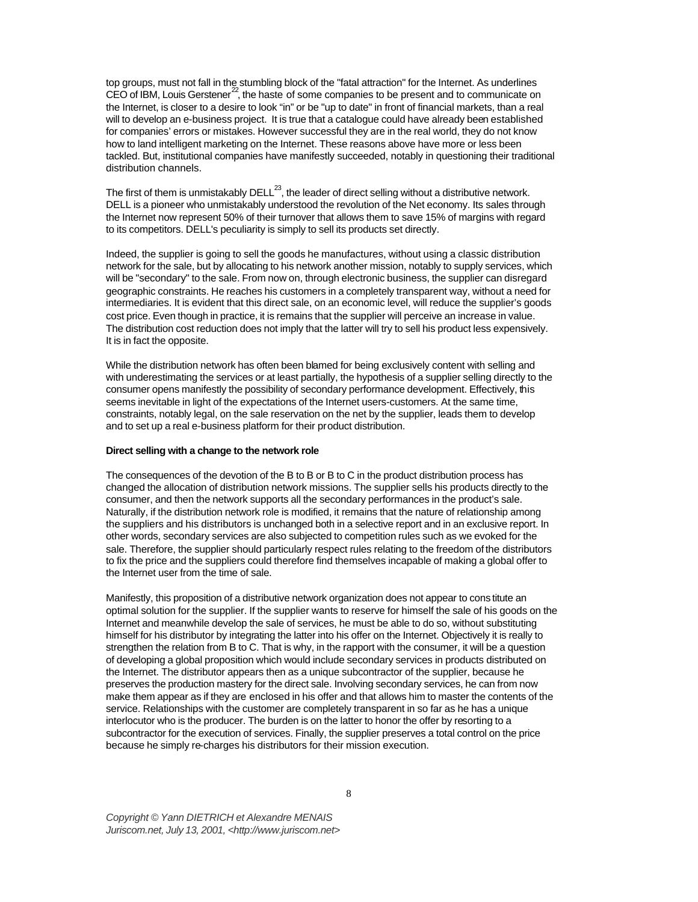top groups, must not fall in the stumbling block of the "fatal attraction" for the Internet. As underlines  $CEO$  of IBM, Louis Gerstener<sup>22</sup>, the haste of some companies to be present and to communicate on the Internet, is closer to a desire to look "in" or be "up to date" in front of financial markets, than a real will to develop an e-business project. It is true that a catalogue could have already been established for companies' errors or mistakes. However successful they are in the real world, they do not know how to land intelligent marketing on the Internet. These reasons above have more or less been tackled. But, institutional companies have manifestly succeeded, notably in questioning their traditional distribution channels.

The first of them is unmistakably DELL $^{23}$ , the leader of direct selling without a distributive network. DELL is a pioneer who unmistakably understood the revolution of the Net economy. Its sales through the Internet now represent 50% of their turnover that allows them to save 15% of margins with regard to its competitors. DELL's peculiarity is simply to sell its products set directly.

Indeed, the supplier is going to sell the goods he manufactures, without using a classic distribution network for the sale, but by allocating to his network another mission, notably to supply services, which will be "secondary" to the sale. From now on, through electronic business, the supplier can disregard geographic constraints. He reaches his customers in a completely transparent way, without a need for intermediaries. It is evident that this direct sale, on an economic level, will reduce the supplier's goods cost price. Even though in practice, it is remains that the supplier will perceive an increase in value. The distribution cost reduction does not imply that the latter will try to sell his product less expensively. It is in fact the opposite.

While the distribution network has often been blamed for being exclusively content with selling and with underestimating the services or at least partially, the hypothesis of a supplier selling directly to the consumer opens manifestly the possibility of secondary performance development. Effectively, this seems inevitable in light of the expectations of the Internet users-customers. At the same time, constraints, notably legal, on the sale reservation on the net by the supplier, leads them to develop and to set up a real e-business platform for their product distribution.

## **Direct selling with a change to the network role**

The consequences of the devotion of the B to B or B to C in the product distribution process has changed the allocation of distribution network missions. The supplier sells his products directly to the consumer, and then the network supports all the secondary performances in the product's sale. Naturally, if the distribution network role is modified, it remains that the nature of relationship among the suppliers and his distributors is unchanged both in a selective report and in an exclusive report. In other words, secondary services are also subjected to competition rules such as we evoked for the sale. Therefore, the supplier should particularly respect rules relating to the freedom of the distributors to fix the price and the suppliers could therefore find themselves incapable of making a global offer to the Internet user from the time of sale.

Manifestly, this proposition of a distributive network organization does not appear to cons titute an optimal solution for the supplier. If the supplier wants to reserve for himself the sale of his goods on the Internet and meanwhile develop the sale of services, he must be able to do so, without substituting himself for his distributor by integrating the latter into his offer on the Internet. Objectively it is really to strengthen the relation from B to C. That is why, in the rapport with the consumer, it will be a question of developing a global proposition which would include secondary services in products distributed on the Internet. The distributor appears then as a unique subcontractor of the supplier, because he preserves the production mastery for the direct sale. Involving secondary services, he can from now make them appear as if they are enclosed in his offer and that allows him to master the contents of the service. Relationships with the customer are completely transparent in so far as he has a unique interlocutor who is the producer. The burden is on the latter to honor the offer by resorting to a subcontractor for the execution of services. Finally, the supplier preserves a total control on the price because he simply re-charges his distributors for their mission execution.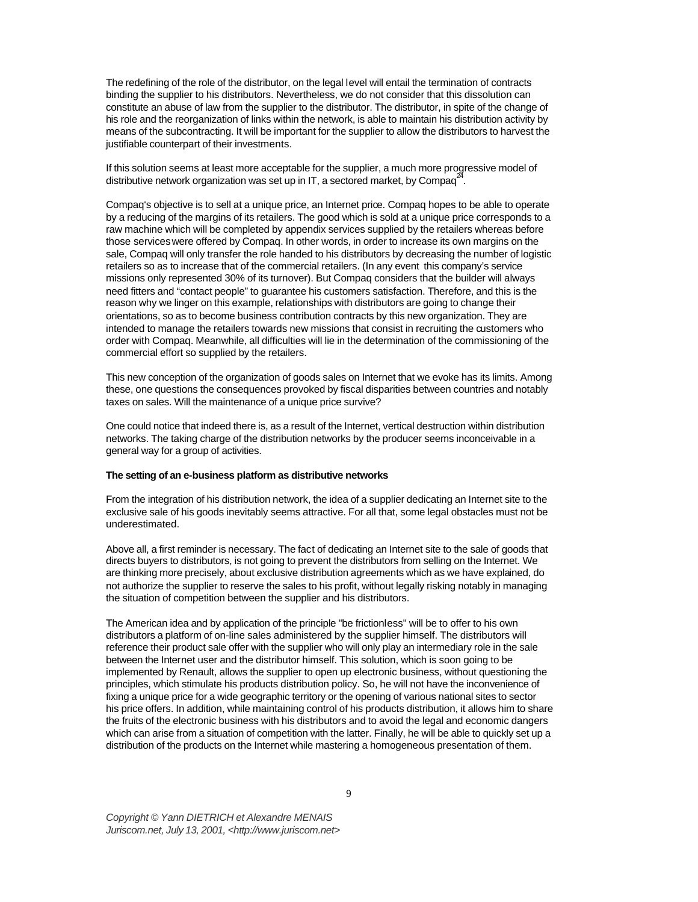The redefining of the role of the distributor, on the legal level will entail the termination of contracts binding the supplier to his distributors. Nevertheless, we do not consider that this dissolution can constitute an abuse of law from the supplier to the distributor. The distributor, in spite of the change of his role and the reorganization of links within the network, is able to maintain his distribution activity by means of the subcontracting. It will be important for the supplier to allow the distributors to harvest the justifiable counterpart of their investments.

If this solution seems at least more acceptable for the supplier, a much more progressive model of distributive network organization was set up in IT, a sectored market, by Compaq<sup>2</sup> .

Compaq's objective is to sell at a unique price, an Internet price. Compaq hopes to be able to operate by a reducing of the margins of its retailers. The good which is sold at a unique price corresponds to a raw machine which will be completed by appendix services supplied by the retailers whereas before those services were offered by Compaq. In other words, in order to increase its own margins on the sale, Compaq will only transfer the role handed to his distributors by decreasing the number of logistic retailers so as to increase that of the commercial retailers. (In any event this company's service missions only represented 30% of its turnover). But Compaq considers that the builder will always need fitters and "contact people" to guarantee his customers satisfaction. Therefore, and this is the reason why we linger on this example, relationships with distributors are going to change their orientations, so as to become business contribution contracts by this new organization. They are intended to manage the retailers towards new missions that consist in recruiting the customers who order with Compaq. Meanwhile, all difficulties will lie in the determination of the commissioning of the commercial effort so supplied by the retailers.

This new conception of the organization of goods sales on Internet that we evoke has its limits. Among these, one questions the consequences provoked by fiscal disparities between countries and notably taxes on sales. Will the maintenance of a unique price survive?

One could notice that indeed there is, as a result of the Internet, vertical destruction within distribution networks. The taking charge of the distribution networks by the producer seems inconceivable in a general way for a group of activities.

## **The setting of an e-business platform as distributive networks**

From the integration of his distribution network, the idea of a supplier dedicating an Internet site to the exclusive sale of his goods inevitably seems attractive. For all that, some legal obstacles must not be underestimated.

Above all, a first reminder is necessary. The fact of dedicating an Internet site to the sale of goods that directs buyers to distributors, is not going to prevent the distributors from selling on the Internet. We are thinking more precisely, about exclusive distribution agreements which as we have explained, do not authorize the supplier to reserve the sales to his profit, without legally risking notably in managing the situation of competition between the supplier and his distributors.

The American idea and by application of the principle "be frictionless" will be to offer to his own distributors a platform of on-line sales administered by the supplier himself. The distributors will reference their product sale offer with the supplier who will only play an intermediary role in the sale between the Internet user and the distributor himself. This solution, which is soon going to be implemented by Renault, allows the supplier to open up electronic business, without questioning the principles, which stimulate his products distribution policy. So, he will not have the inconvenience of fixing a unique price for a wide geographic territory or the opening of various national sites to sector his price offers. In addition, while maintaining control of his products distribution, it allows him to share the fruits of the electronic business with his distributors and to avoid the legal and economic dangers which can arise from a situation of competition with the latter. Finally, he will be able to quickly set up a distribution of the products on the Internet while mastering a homogeneous presentation of them.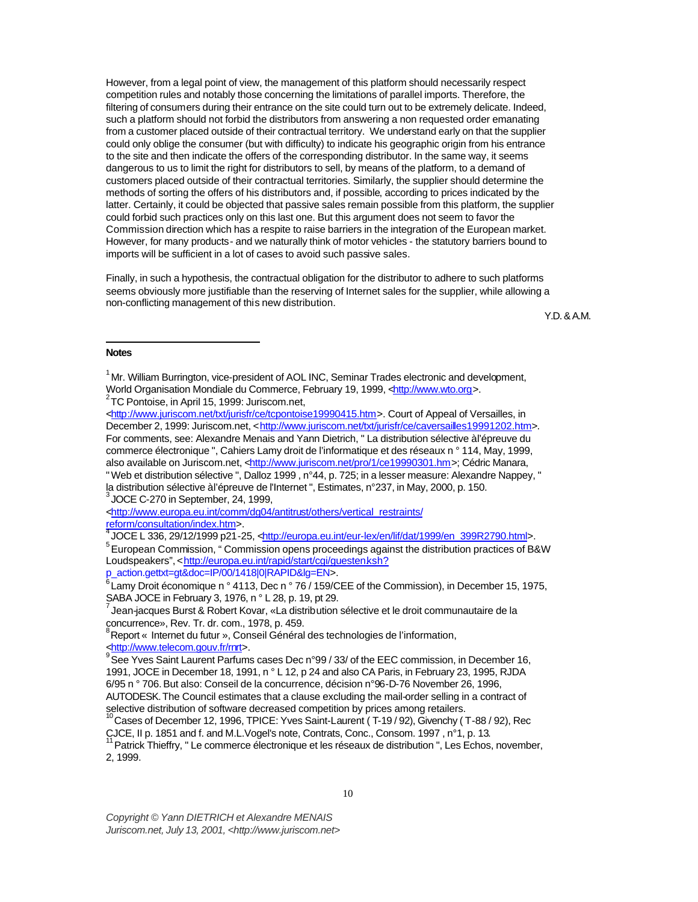However, from a legal point of view, the management of this platform should necessarily respect competition rules and notably those concerning the limitations of parallel imports. Therefore, the filtering of consumers during their entrance on the site could turn out to be extremely delicate. Indeed, such a platform should not forbid the distributors from answering a non requested order emanating from a customer placed outside of their contractual territory. We understand early on that the supplier could only oblige the consumer (but with difficulty) to indicate his geographic origin from his entrance to the site and then indicate the offers of the corresponding distributor. In the same way, it seems dangerous to us to limit the right for distributors to sell, by means of the platform, to a demand of customers placed outside of their contractual territories. Similarly, the supplier should determine the methods of sorting the offers of his distributors and, if possible, according to prices indicated by the latter. Certainly, it could be objected that passive sales remain possible from this platform, the supplier could forbid such practices only on this last one. But this argument does not seem to favor the Commission direction which has a respite to raise barriers in the integration of the European market. However, for many products - and we naturally think of motor vehicles - the statutory barriers bound to imports will be sufficient in a lot of cases to avoid such passive sales.

Finally, in such a hypothesis, the contractual obligation for the distributor to adhere to such platforms seems obviously more justifiable than the reserving of Internet sales for the supplier, while allowing a non-conflicting management of this new distribution.

Y.D. & A.M.

#### **Notes**

l

JOCE C-270 in September, 24, 1999,

<http://www.europa.eu.int/comm/dg04/antitrust/others/vertical\_restraints/ reform/consultation/index.htm>.<br><sup>4</sup> IOCE L 336, 39/49/4999.p34

JOCE L 336, 29/12/1999 p21-25, <http://europa.eu.int/eur-lex/en/lif/dat/1999/en\_399R2790.html>.

<sup>5</sup> European Commission, " Commission opens proceedings against the distribution practices of B&W Loudspeakers", <http://europa.eu.int/rapid/start/cgi/guesten.ksh?

p\_action.gettxt=gt&doc=IP/00/1418|0|RAPID&lg=EN>.

<sup>6</sup> Lamy Droit économique n ° 4113, Dec n ° 76 / 159/CEE of the Commission), in December 15, 1975, SABA JOCE in February 3, 1976, n ° L 28, p. 19, pt 29.

 $^7$ Jean-jacques Burst & Robert Kovar, «La distribution sélective et le droit communautaire de la concurrence», Rev. Tr. dr. com., 1978, p. 459.

<sup>8</sup> Report « Internet du futur », Conseil Général des technologies de l'information, <http://www.telecom.gouv.fr/rnrt>.

<sup>9</sup> See Yves Saint Laurent Parfums cases Dec n°99 / 33/ of the EEC commission, in December 16, 1991, JOCE in December 18, 1991, n ° L 12, p 24 and also CA Paris, in February 23, 1995, RJDA 6/95 n ° 706. But also: Conseil de la concurrence, décision n°96-D-76 November 26, 1996, AUTODESK. The Council estimates that a clause excluding the mail-order selling in a contract of selective distribution of software decreased competition by prices among retailers.

<sup>&</sup>lt;sup>1</sup> Mr. William Burrington, vice-president of AOL INC, Seminar Trades electronic and development, World Organisation Mondiale du Commerce, February 19, 1999, <http://www.wto.org>.

<sup>&</sup>lt;sup>2</sup>TC Pontoise, in April 15, 1999: Juriscom.net,

<sup>&</sup>lt;http://www.juriscom.net/txt/jurisfr/ce/tcpontoise19990415.htm>. Court of Appeal of Versailles, in December 2, 1999: Juriscom.net, <http://www.juriscom.net/txt/jurisfr/ce/caversailles19991202.htm>. For comments, see: Alexandre Menais and Yann Dietrich, " La distribution sélective à l'épreuve du commerce électronique ", Cahiers Lamy droit de l'informatique et des réseaux n ° 114, May, 1999, also available on Juriscom.net, <http://www.juriscom.net/pro/1/ce19990301.hm>; Cédric Manara, "Web et distribution sélective ", Dalloz 1999 , n°44, p. 725; in a lesser measure: Alexandre Nappey, " la distribution sélective à l'épreuve de l'Internet ", Estimates, n°237, in May, 2000, p. 150.<br><sup>3</sup> JOCE O 270 in Cantamber, 24, 1999.

Cases of December 12, 1996, TPICE: Yves Saint-Laurent ( T-19 / 92), Givenchy ( T-88 / 92), Rec CJCE, II p. 1851 and f. and M.L.Vogel's note, Contrats, Conc., Consom. 1997, n°1, p. 13.

<sup>11</sup> Patrick Thieffry, " Le commerce électronique et les réseaux de distribution ", Les Echos, november, 2, 1999.